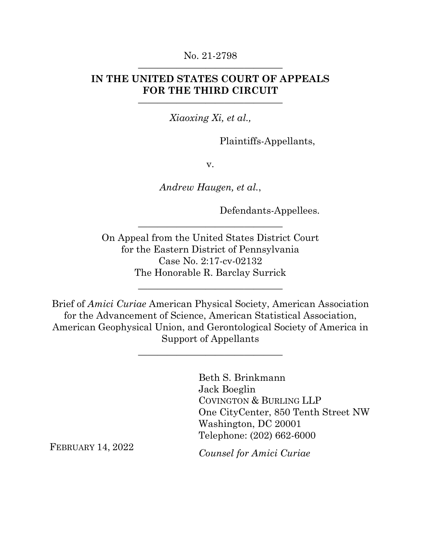### No. 21-2798 ———————————————

## **IN THE UNITED STATES COURT OF APPEALS FOR THE THIRD CIRCUIT**

———————————————

*Xiaoxing Xi, et al.,*

Plaintiffs-Appellants,

v.

*Andrew Haugen, et al.*,

Defendants-Appellees.

On Appeal from the United States District Court for the Eastern District of Pennsylvania Case No. 2:17-cv-02132 The Honorable R. Barclay Surrick

———————————————

Brief of *Amici Curiae* American Physical Society, American Association for the Advancement of Science, American Statistical Association, American Geophysical Union, and Gerontological Society of America in Support of Appellants

———————————————

———————————————

Beth S. Brinkmann Jack Boeglin COVINGTON & BURLING LLP One CityCenter, 850 Tenth Street NW Washington, DC 20001 Telephone: (202) 662-6000

FEBRUARY 14, 2022

*Counsel for Amici Curiae*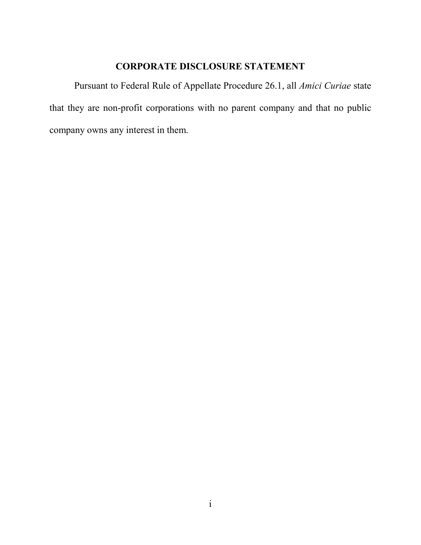## **CORPORATE DISCLOSURE STATEMENT**

<span id="page-1-0"></span>Pursuant to Federal Rule of Appellate Procedure 26.1, all *Amici Curiae* state that they are non-profit corporations with no parent company and that no public company owns any interest in them.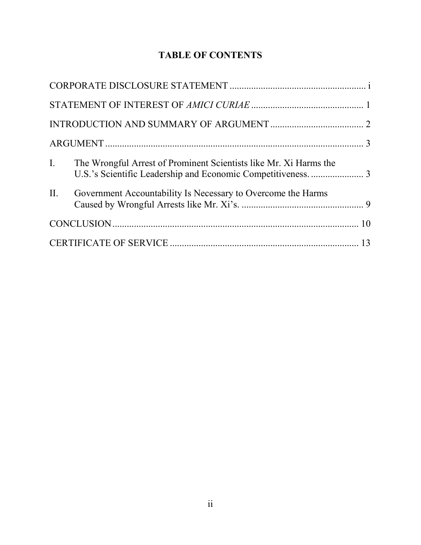## **TABLE OF CONTENTS**

| $\mathbf{I}$ . | The Wrongful Arrest of Prominent Scientists like Mr. Xi Harms the |  |
|----------------|-------------------------------------------------------------------|--|
|                | II. Government Accountability Is Necessary to Overcome the Harms  |  |
|                |                                                                   |  |
|                |                                                                   |  |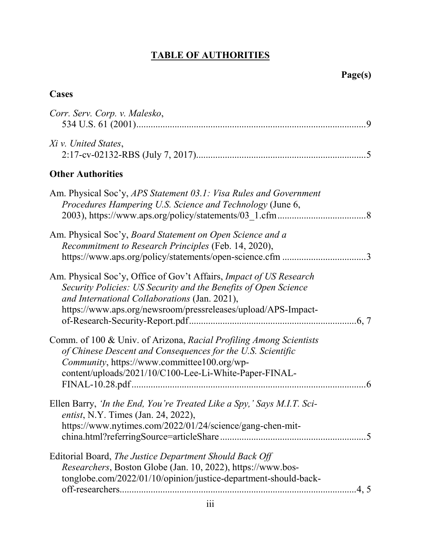# **TABLE OF AUTHORITIES**

## **Cases**

| Corr. Serv. Corp. v. Malesko,                                                                                                                                                                                                                           |
|---------------------------------------------------------------------------------------------------------------------------------------------------------------------------------------------------------------------------------------------------------|
| Xi v. United States,                                                                                                                                                                                                                                    |
| <b>Other Authorities</b>                                                                                                                                                                                                                                |
| Am. Physical Soc'y, APS Statement 03.1: Visa Rules and Government<br>Procedures Hampering U.S. Science and Technology (June 6,                                                                                                                          |
| Am. Physical Soc'y, Board Statement on Open Science and a<br>Recommitment to Research Principles (Feb. 14, 2020),<br>https://www.aps.org/policy/statements/open-science.cfm 3                                                                           |
| Am. Physical Soc'y, Office of Gov't Affairs, Impact of US Research<br>Security Policies: US Security and the Benefits of Open Science<br>and International Collaborations (Jan. 2021),<br>https://www.aps.org/newsroom/pressreleases/upload/APS-Impact- |
| Comm. of 100 & Univ. of Arizona, Racial Profiling Among Scientists<br>of Chinese Descent and Consequences for the U.S. Scientific<br>Community, https://www.committee100.org/wp-<br>content/uploads/2021/10/C100-Lee-Li-White-Paper-FINAL-              |
| Ellen Barry, <i>'In the End, You're Treated Like a Spy,' Says M.I.T. Sci-</i><br><i>entist</i> , N.Y. Times (Jan. 24, 2022),<br>https://www.nytimes.com/2022/01/24/science/gang-chen-mit-                                                               |
| Editorial Board, The Justice Department Should Back Off<br>Researchers, Boston Globe (Jan. 10, 2022), https://www.bos-<br>tonglobe.com/2022/01/10/opinion/justice-department-should-back-<br>.4, 5                                                      |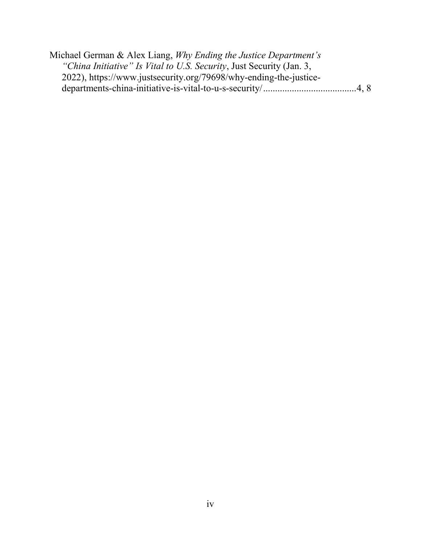| Michael German & Alex Liang, Why Ending the Justice Department's     |  |
|----------------------------------------------------------------------|--|
| "China Initiative" Is Vital to U.S. Security, Just Security (Jan. 3, |  |
| 2022), https://www.justsecurity.org/79698/why-ending-the-justice-    |  |
|                                                                      |  |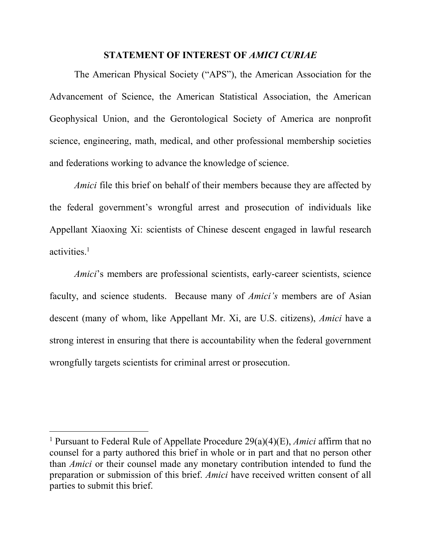#### **STATEMENT OF INTEREST OF** *AMICI CURIAE*

<span id="page-5-0"></span>The American Physical Society ("APS"), the American Association for the Advancement of Science, the American Statistical Association, the American Geophysical Union, and the Gerontological Society of America are nonprofit science, engineering, math, medical, and other professional membership societies and federations working to advance the knowledge of science.

*Amici* file this brief on behalf of their members because they are affected by the federal government's wrongful arrest and prosecution of individuals like Appellant Xiaoxing Xi: scientists of Chinese descent engaged in lawful research activities.<sup>1</sup>

*Amici*'s members are professional scientists, early-career scientists, science faculty, and science students. Because many of *Amici's* members are of Asian descent (many of whom, like Appellant Mr. Xi, are U.S. citizens), *Amici* have a strong interest in ensuring that there is accountability when the federal government wrongfully targets scientists for criminal arrest or prosecution.

 $\overline{a}$ 

<sup>1</sup> Pursuant to Federal Rule of Appellate Procedure 29(a)(4)(E), *Amici* affirm that no counsel for a party authored this brief in whole or in part and that no person other than *Amici* or their counsel made any monetary contribution intended to fund the preparation or submission of this brief. *Amici* have received written consent of all parties to submit this brief.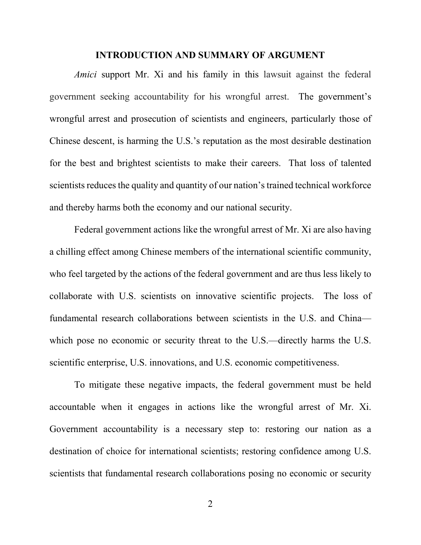#### **INTRODUCTION AND SUMMARY OF ARGUMENT**

<span id="page-6-0"></span>*Amici* support Mr. Xi and his family in this lawsuit against the federal government seeking accountability for his wrongful arrest. The government's wrongful arrest and prosecution of scientists and engineers, particularly those of Chinese descent, is harming the U.S.'s reputation as the most desirable destination for the best and brightest scientists to make their careers. That loss of talented scientists reduces the quality and quantity of our nation's trained technical workforce and thereby harms both the economy and our national security.

Federal government actions like the wrongful arrest of Mr. Xi are also having a chilling effect among Chinese members of the international scientific community, who feel targeted by the actions of the federal government and are thus less likely to collaborate with U.S. scientists on innovative scientific projects. The loss of fundamental research collaborations between scientists in the U.S. and China which pose no economic or security threat to the U.S.—directly harms the U.S. scientific enterprise, U.S. innovations, and U.S. economic competitiveness.

To mitigate these negative impacts, the federal government must be held accountable when it engages in actions like the wrongful arrest of Mr. Xi. Government accountability is a necessary step to: restoring our nation as a destination of choice for international scientists; restoring confidence among U.S. scientists that fundamental research collaborations posing no economic or security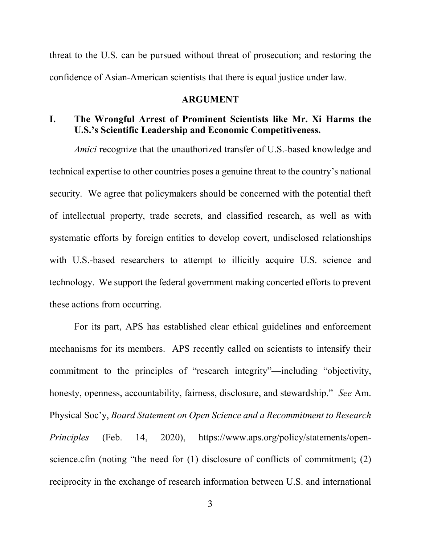threat to the U.S. can be pursued without threat of prosecution; and restoring the confidence of Asian-American scientists that there is equal justice under law.

#### **ARGUMENT**

### <span id="page-7-1"></span><span id="page-7-0"></span>**I. The Wrongful Arrest of Prominent Scientists like Mr. Xi Harms the U.S.'s Scientific Leadership and Economic Competitiveness.**

*Amici* recognize that the unauthorized transfer of U.S.-based knowledge and technical expertise to other countries poses a genuine threat to the country's national security. We agree that policymakers should be concerned with the potential theft of intellectual property, trade secrets, and classified research, as well as with systematic efforts by foreign entities to develop covert, undisclosed relationships with U.S.-based researchers to attempt to illicitly acquire U.S. science and technology. We support the federal government making concerted efforts to prevent these actions from occurring.

<span id="page-7-2"></span>For its part, APS has established clear ethical guidelines and enforcement mechanisms for its members. APS recently called on scientists to intensify their commitment to the principles of "research integrity"—including "objectivity, honesty, openness, accountability, fairness, disclosure, and stewardship." *See* Am. Physical Soc'y, *Board Statement on Open Science and a Recommitment to Research Principles* (Feb. 14, 2020), https://www.aps.org/policy/statements/openscience.cfm (noting "the need for (1) disclosure of conflicts of commitment; (2) reciprocity in the exchange of research information between U.S. and international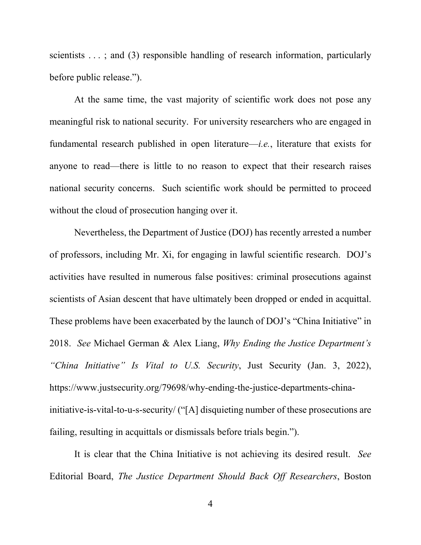scientists . . .; and (3) responsible handling of research information, particularly before public release.").

At the same time, the vast majority of scientific work does not pose any meaningful risk to national security. For university researchers who are engaged in fundamental research published in open literature—*i.e.*, literature that exists for anyone to read—there is little to no reason to expect that their research raises national security concerns. Such scientific work should be permitted to proceed without the cloud of prosecution hanging over it.

Nevertheless, the Department of Justice (DOJ) has recently arrested a number of professors, including Mr. Xi, for engaging in lawful scientific research. DOJ's activities have resulted in numerous false positives: criminal prosecutions against scientists of Asian descent that have ultimately been dropped or ended in acquittal. These problems have been exacerbated by the launch of DOJ's "China Initiative" in 2018. *See* Michael German & Alex Liang, *Why Ending the Justice Department's "China Initiative" Is Vital to U.S. Security*, Just Security (Jan. 3, 2022), https://www.justsecurity.org/79698/why-ending-the-justice-departments-chinainitiative-is-vital-to-u-s-security/ ("[A] disquieting number of these prosecutions are failing, resulting in acquittals or dismissals before trials begin.").

<span id="page-8-1"></span><span id="page-8-0"></span>It is clear that the China Initiative is not achieving its desired result. *See*  Editorial Board, *The Justice Department Should Back Off Researchers*, Boston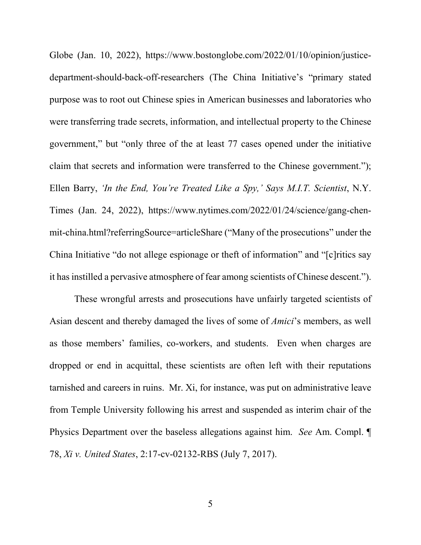Globe (Jan. 10, 2022), https://www.bostonglobe.com/2022/01/10/opinion/justicedepartment-should-back-off-researchers (The China Initiative's "primary stated purpose was to root out Chinese spies in American businesses and laboratories who were transferring trade secrets, information, and intellectual property to the Chinese government," but "only three of the at least 77 cases opened under the initiative claim that secrets and information were transferred to the Chinese government."); Ellen Barry, *'In the End, You're Treated Like a Spy,' Says M.I.T. Scientist*, N.Y. Times (Jan. 24, 2022), https://www.nytimes.com/2022/01/24/science/gang-chenmit-china.html?referringSource=articleShare ("Many of the prosecutions" under the China Initiative "do not allege espionage or theft of information" and "[c]ritics say it has instilled a pervasive atmosphere of fear among scientists of Chinese descent.").

These wrongful arrests and prosecutions have unfairly targeted scientists of Asian descent and thereby damaged the lives of some of *Amici*'s members, as well as those members' families, co-workers, and students. Even when charges are dropped or end in acquittal, these scientists are often left with their reputations tarnished and careers in ruins. Mr. Xi, for instance, was put on administrative leave from Temple University following his arrest and suspended as interim chair of the Physics Department over the baseless allegations against him. *See* Am. Compl. ¶ 78, *Xi v. United States*, 2:17-cv-02132-RBS (July 7, 2017).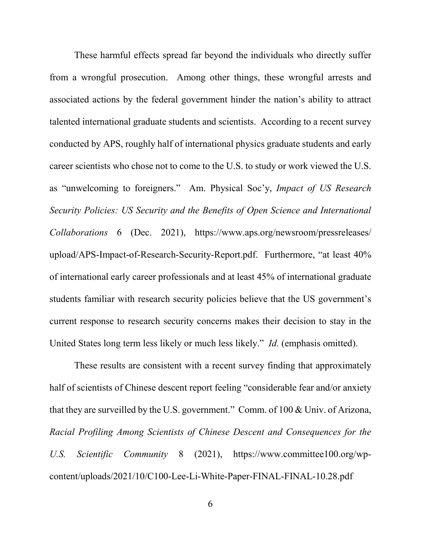These harmful effects spread far beyond the individuals who directly suffer from a wrongful prosecution. Among other things, these wrongful arrests and associated actions by the federal government hinder the nation's ability to attract talented international graduate students and scientists. According to a recent survey conducted by APS, roughly half of international physics graduate students and early career scientists who chose not to come to the U.S. to study or work viewed the U.S. as "unwelcoming to foreigners." Am. Physical Soc'y, *Impact of US Research Security Policies: US Security and the Benefits of Open Science and International Collaborations* 6 (Dec. 2021), https://www.aps.org/newsroom/pressreleases/ upload/APS-Impact-of-Research-Security-Report.pdf. Furthermore, "at least 40% of international early career professionals and at least 45% of international graduate students familiar with research security policies believe that the US government's current response to research security concerns makes their decision to stay in the United States long term less likely or much less likely." *Id.* (emphasis omitted).

<span id="page-10-0"></span>These results are consistent with a recent survey finding that approximately half of scientists of Chinese descent report feeling "considerable fear and/or anxiety that they are surveilled by the U.S. government." Comm. of 100 & Univ. of Arizona, *Racial Profiling Among Scientists of Chinese Descent and Consequences for the U.S. Scientific Community* 8 (2021), https://www.committee100.org/wpcontent/uploads/2021/10/C100-Lee-Li-White-Paper-FINAL-FINAL-10.28.pdf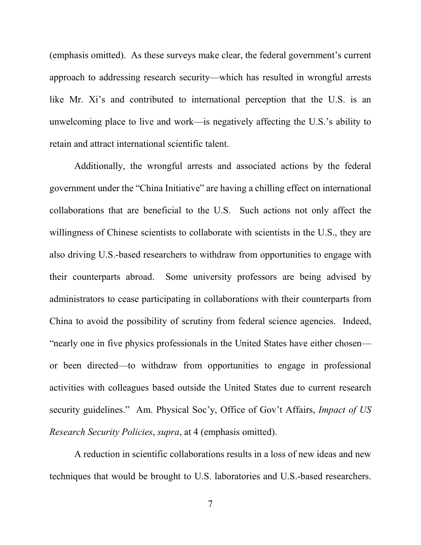(emphasis omitted). As these surveys make clear, the federal government's current approach to addressing research security—which has resulted in wrongful arrests like Mr. Xi's and contributed to international perception that the U.S. is an unwelcoming place to live and work—is negatively affecting the U.S.'s ability to retain and attract international scientific talent.

Additionally, the wrongful arrests and associated actions by the federal government under the "China Initiative" are having a chilling effect on international collaborations that are beneficial to the U.S. Such actions not only affect the willingness of Chinese scientists to collaborate with scientists in the U.S., they are also driving U.S.-based researchers to withdraw from opportunities to engage with their counterparts abroad. Some university professors are being advised by administrators to cease participating in collaborations with their counterparts from China to avoid the possibility of scrutiny from federal science agencies. Indeed, "nearly one in five physics professionals in the United States have either chosen or been directed—to withdraw from opportunities to engage in professional activities with colleagues based outside the United States due to current research security guidelines." Am. Physical Soc'y, Office of Gov't Affairs, *Impact of US Research Security Policies*, *supra*, at 4 (emphasis omitted).

A reduction in scientific collaborations results in a loss of new ideas and new techniques that would be brought to U.S. laboratories and U.S.-based researchers.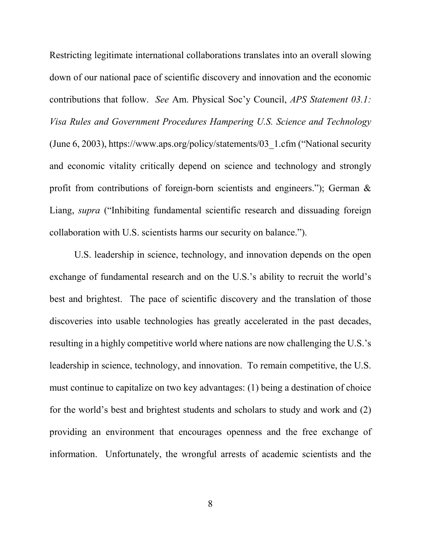<span id="page-12-0"></span>Restricting legitimate international collaborations translates into an overall slowing down of our national pace of scientific discovery and innovation and the economic contributions that follow. *See* Am. Physical Soc'y Council, *APS Statement 03.1: Visa Rules and Government Procedures Hampering U.S. Science and Technology* (June 6, 2003), https://www.aps.org/policy/statements/03\_1.cfm ("National security and economic vitality critically depend on science and technology and strongly profit from contributions of foreign-born scientists and engineers."); German & Liang, *supra* ("Inhibiting fundamental scientific research and dissuading foreign collaboration with U.S. scientists harms our security on balance.").

U.S. leadership in science, technology, and innovation depends on the open exchange of fundamental research and on the U.S.'s ability to recruit the world's best and brightest. The pace of scientific discovery and the translation of those discoveries into usable technologies has greatly accelerated in the past decades, resulting in a highly competitive world where nations are now challenging the U.S.'s leadership in science, technology, and innovation. To remain competitive, the U.S. must continue to capitalize on two key advantages: (1) being a destination of choice for the world's best and brightest students and scholars to study and work and (2) providing an environment that encourages openness and the free exchange of information. Unfortunately, the wrongful arrests of academic scientists and the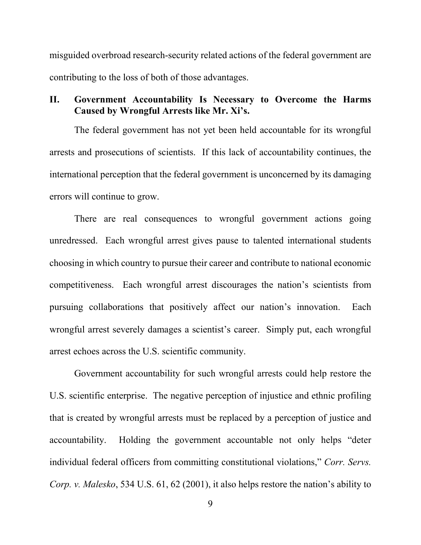misguided overbroad research-security related actions of the federal government are contributing to the loss of both of those advantages.

## <span id="page-13-0"></span>**II. Government Accountability Is Necessary to Overcome the Harms Caused by Wrongful Arrests like Mr. Xi's.**

The federal government has not yet been held accountable for its wrongful arrests and prosecutions of scientists. If this lack of accountability continues, the international perception that the federal government is unconcerned by its damaging errors will continue to grow.

There are real consequences to wrongful government actions going unredressed. Each wrongful arrest gives pause to talented international students choosing in which country to pursue their career and contribute to national economic competitiveness. Each wrongful arrest discourages the nation's scientists from pursuing collaborations that positively affect our nation's innovation. Each wrongful arrest severely damages a scientist's career. Simply put, each wrongful arrest echoes across the U.S. scientific community.

<span id="page-13-1"></span>Government accountability for such wrongful arrests could help restore the U.S. scientific enterprise. The negative perception of injustice and ethnic profiling that is created by wrongful arrests must be replaced by a perception of justice and accountability. Holding the government accountable not only helps "deter individual federal officers from committing constitutional violations," *Corr. Servs. Corp. v. Malesko*, 534 U.S. 61, 62 (2001), it also helps restore the nation's ability to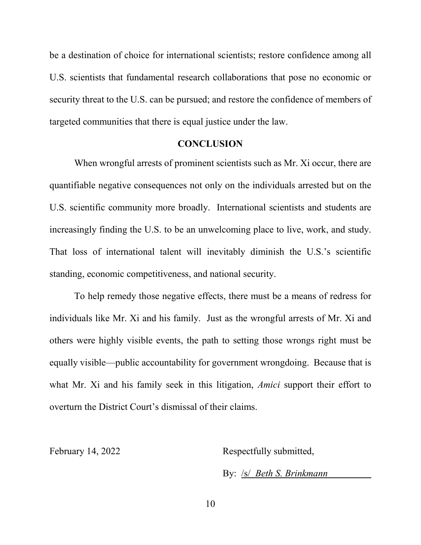be a destination of choice for international scientists; restore confidence among all U.S. scientists that fundamental research collaborations that pose no economic or security threat to the U.S. can be pursued; and restore the confidence of members of targeted communities that there is equal justice under the law.

#### **CONCLUSION**

<span id="page-14-0"></span>When wrongful arrests of prominent scientists such as Mr. Xi occur, there are quantifiable negative consequences not only on the individuals arrested but on the U.S. scientific community more broadly. International scientists and students are increasingly finding the U.S. to be an unwelcoming place to live, work, and study. That loss of international talent will inevitably diminish the U.S.'s scientific standing, economic competitiveness, and national security.

To help remedy those negative effects, there must be a means of redress for individuals like Mr. Xi and his family. Just as the wrongful arrests of Mr. Xi and others were highly visible events, the path to setting those wrongs right must be equally visible—public accountability for government wrongdoing. Because that is what Mr. Xi and his family seek in this litigation, *Amici* support their effort to overturn the District Court's dismissal of their claims.

February 14, 2022 Respectfully submitted,

By: /s/ *Beth S. Brinkmann*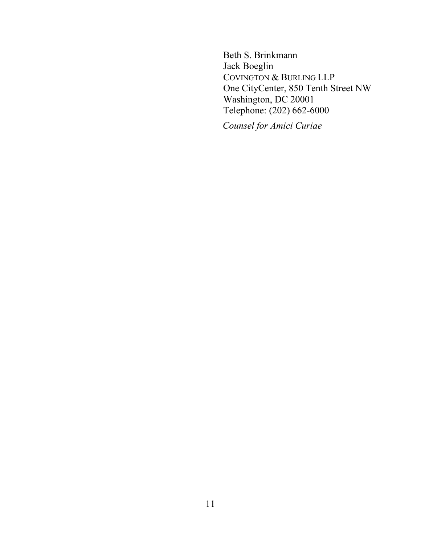Beth S. Brinkmann Jack Boeglin COVINGTON & BURLING LLP One CityCenter, 850 Tenth Street NW Washington, DC 20001 Telephone: (202) 662-6000

*Counsel for Amici Curiae*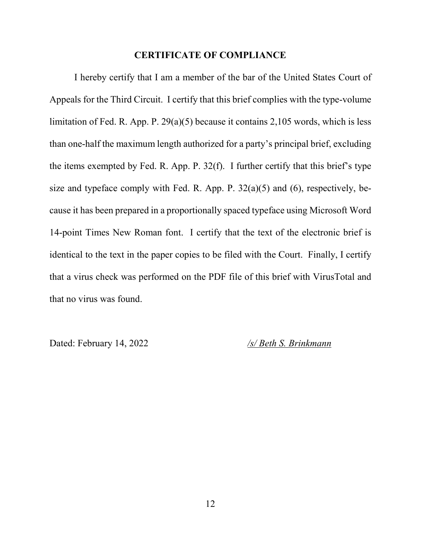#### **CERTIFICATE OF COMPLIANCE**

I hereby certify that I am a member of the bar of the United States Court of Appeals for the Third Circuit. I certify that this brief complies with the type-volume limitation of Fed. R. App. P. 29(a)(5) because it contains 2,105 words, which is less than one-half the maximum length authorized for a party's principal brief, excluding the items exempted by Fed. R. App. P. 32(f). I further certify that this brief's type size and typeface comply with Fed. R. App. P.  $32(a)(5)$  and  $(6)$ , respectively, because it has been prepared in a proportionally spaced typeface using Microsoft Word 14-point Times New Roman font. I certify that the text of the electronic brief is identical to the text in the paper copies to be filed with the Court. Finally, I certify that a virus check was performed on the PDF file of this brief with VirusTotal and that no virus was found.

Dated: February 14, 2022 */s/ Beth S. Brinkmann*